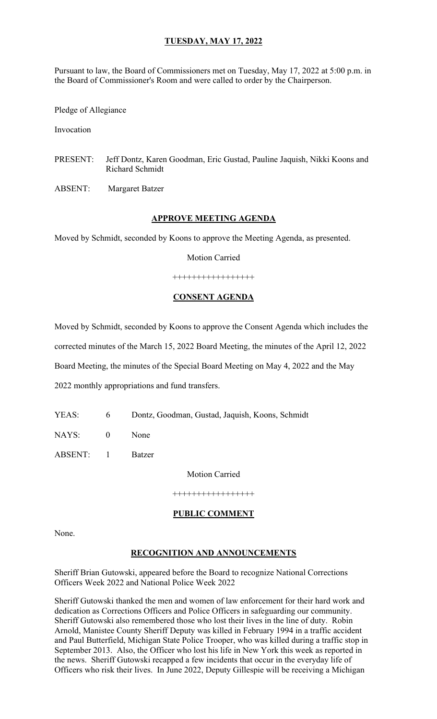Pursuant to law, the Board of Commissioners met on Tuesday, May 17, 2022 at 5:00 p.m. in the Board of Commissioner's Room and were called to order by the Chairperson.

Pledge of Allegiance

Invocation

PRESENT: Jeff Dontz, Karen Goodman, Eric Gustad, Pauline Jaquish, Nikki Koons and Richard Schmidt

ABSENT: Margaret Batzer

#### **APPROVE MEETING AGENDA**

Moved by Schmidt, seconded by Koons to approve the Meeting Agenda, as presented.

Motion Carried

+++++++++++++++++

#### **CONSENT AGENDA**

Moved by Schmidt, seconded by Koons to approve the Consent Agenda which includes the corrected minutes of the March 15, 2022 Board Meeting, the minutes of the April 12, 2022 Board Meeting, the minutes of the Special Board Meeting on May 4, 2022 and the May 2022 monthly appropriations and fund transfers.

YEAS: 6 Dontz, Goodman, Gustad, Jaquish, Koons, Schmidt

NAYS: 0 None

ABSENT: 1 Batzer

Motion Carried

+++++++++++++++++

#### **PUBLIC COMMENT**

None.

#### **RECOGNITION AND ANNOUNCEMENTS**

Sheriff Brian Gutowski, appeared before the Board to recognize National Corrections Officers Week 2022 and National Police Week 2022

Sheriff Gutowski thanked the men and women of law enforcement for their hard work and dedication as Corrections Officers and Police Officers in safeguarding our community. Sheriff Gutowski also remembered those who lost their lives in the line of duty. Robin Arnold, Manistee County Sheriff Deputy was killed in February 1994 in a traffic accident and Paul Butterfield, Michigan State Police Trooper, who was killed during a traffic stop in September 2013. Also, the Officer who lost his life in New York this week as reported in the news. Sheriff Gutowski recapped a few incidents that occur in the everyday life of Officers who risk their lives. In June 2022, Deputy Gillespie will be receiving a Michigan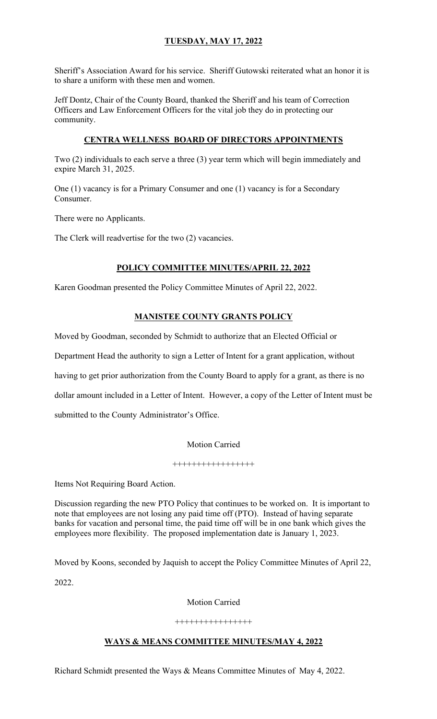Sheriff's Association Award for his service. Sheriff Gutowski reiterated what an honor it is to share a uniform with these men and women.

Jeff Dontz, Chair of the County Board, thanked the Sheriff and his team of Correction Officers and Law Enforcement Officers for the vital job they do in protecting our community.

## **CENTRA WELLNESS BOARD OF DIRECTORS APPOINTMENTS**

Two (2) individuals to each serve a three (3) year term which will begin immediately and expire March 31, 2025.

One (1) vacancy is for a Primary Consumer and one (1) vacancy is for a Secondary Consumer.

There were no Applicants.

The Clerk will readvertise for the two (2) vacancies.

## **POLICY COMMITTEE MINUTES/APRIL 22, 2022**

Karen Goodman presented the Policy Committee Minutes of April 22, 2022.

## **MANISTEE COUNTY GRANTS POLICY**

Moved by Goodman, seconded by Schmidt to authorize that an Elected Official or

Department Head the authority to sign a Letter of Intent for a grant application, without

having to get prior authorization from the County Board to apply for a grant, as there is no

dollar amount included in a Letter of Intent. However, a copy of the Letter of Intent must be

submitted to the County Administrator's Office.

#### Motion Carried

#### +++++++++++++++++

Items Not Requiring Board Action.

Discussion regarding the new PTO Policy that continues to be worked on. It is important to note that employees are not losing any paid time off (PTO). Instead of having separate banks for vacation and personal time, the paid time off will be in one bank which gives the employees more flexibility. The proposed implementation date is January 1, 2023.

Moved by Koons, seconded by Jaquish to accept the Policy Committee Minutes of April 22, 2022.

#### Motion Carried

#### ++++++++++++++++

## **WAYS & MEANS COMMITTEE MINUTES/MAY 4, 2022**

Richard Schmidt presented the Ways & Means Committee Minutes of May 4, 2022.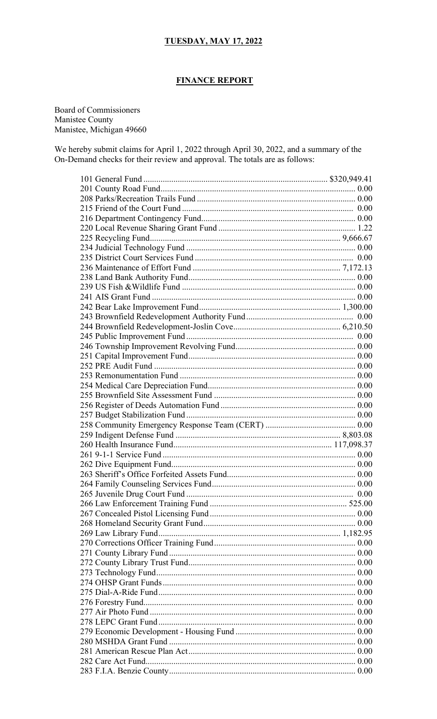## **FINANCE REPORT**

Board of Commissioners Manistee County Manistee, Michigan 49660

We hereby submit claims for April 1, 2022 through April 30, 2022, and a summary of the On-Demand checks for their review and approval. The totals are as follows: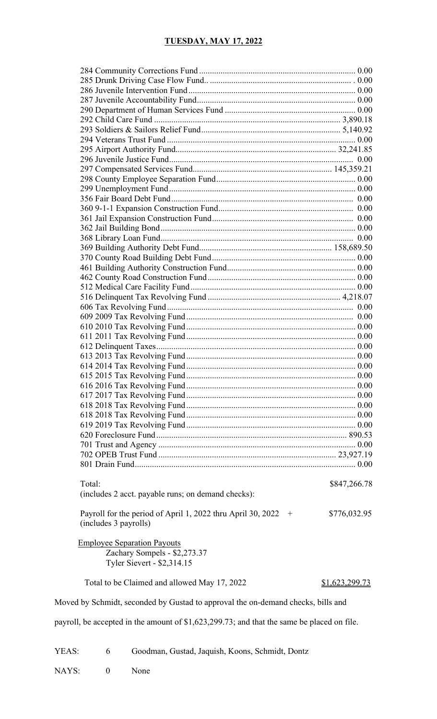| Total:                                                                           | \$847,266.78          |
|----------------------------------------------------------------------------------|-----------------------|
| (includes 2 acct. payable runs; on demand checks):                               |                       |
|                                                                                  |                       |
| Payroll for the period of April 1, 2022 thru April 30, 2022<br>$+$               | \$776,032.95          |
| (includes 3 payrolls)                                                            |                       |
|                                                                                  |                       |
| <b>Employee Separation Payouts</b>                                               |                       |
| Zachary Sompels - \$2,273.37                                                     |                       |
| Tyler Sievert - \$2,314.15                                                       |                       |
|                                                                                  |                       |
| Total to be Claimed and allowed May 17, 2022                                     | <u>\$1,623,299.73</u> |
|                                                                                  |                       |
| Moved by Schmidt, seconded by Gustad to approval the on-demand checks, bills and |                       |

payroll, be accepted in the amount of \$1,623,299.73; and that the same be placed on file.

YEAS: 6 Goodman, Gustad, Jaquish, Koons, Schmidt, Dontz

NAYS: 0 None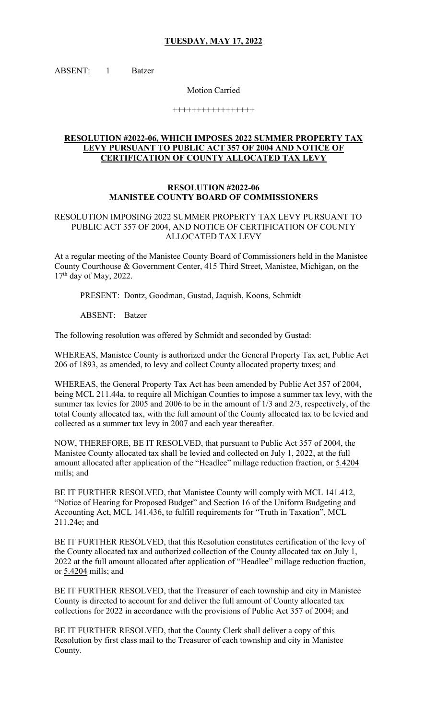ABSENT: 1 Batzer

Motion Carried

+++++++++++++++++

### **RESOLUTION #2022-06, WHICH IMPOSES 2022 SUMMER PROPERTY TAX LEVY PURSUANT TO PUBLIC ACT 357 OF 2004 AND NOTICE OF CERTIFICATION OF COUNTY ALLOCATED TAX LEVY**

### **RESOLUTION #2022-06 MANISTEE COUNTY BOARD OF COMMISSIONERS**

### RESOLUTION IMPOSING 2022 SUMMER PROPERTY TAX LEVY PURSUANT TO PUBLIC ACT 357 OF 2004, AND NOTICE OF CERTIFICATION OF COUNTY ALLOCATED TAX LEVY

At a regular meeting of the Manistee County Board of Commissioners held in the Manistee County Courthouse & Government Center, 415 Third Street, Manistee, Michigan, on the  $17<sup>th</sup>$  day of May, 2022.

PRESENT: Dontz, Goodman, Gustad, Jaquish, Koons, Schmidt

ABSENT: Batzer

The following resolution was offered by Schmidt and seconded by Gustad:

WHEREAS, Manistee County is authorized under the General Property Tax act, Public Act 206 of 1893, as amended, to levy and collect County allocated property taxes; and

WHEREAS, the General Property Tax Act has been amended by Public Act 357 of 2004, being MCL 211.44a, to require all Michigan Counties to impose a summer tax levy, with the summer tax levies for 2005 and 2006 to be in the amount of 1/3 and 2/3, respectively, of the total County allocated tax, with the full amount of the County allocated tax to be levied and collected as a summer tax levy in 2007 and each year thereafter.

NOW, THEREFORE, BE IT RESOLVED, that pursuant to Public Act 357 of 2004, the Manistee County allocated tax shall be levied and collected on July 1, 2022, at the full amount allocated after application of the "Headlee" millage reduction fraction, or 5.4204 mills; and

BE IT FURTHER RESOLVED, that Manistee County will comply with MCL 141.412, "Notice of Hearing for Proposed Budget" and Section 16 of the Uniform Budgeting and Accounting Act, MCL 141.436, to fulfill requirements for "Truth in Taxation", MCL 211.24e; and

BE IT FURTHER RESOLVED, that this Resolution constitutes certification of the levy of the County allocated tax and authorized collection of the County allocated tax on July 1, 2022 at the full amount allocated after application of "Headlee" millage reduction fraction, or 5.4204 mills; and

BE IT FURTHER RESOLVED, that the Treasurer of each township and city in Manistee County is directed to account for and deliver the full amount of County allocated tax collections for 2022 in accordance with the provisions of Public Act 357 of 2004; and

BE IT FURTHER RESOLVED, that the County Clerk shall deliver a copy of this Resolution by first class mail to the Treasurer of each township and city in Manistee County.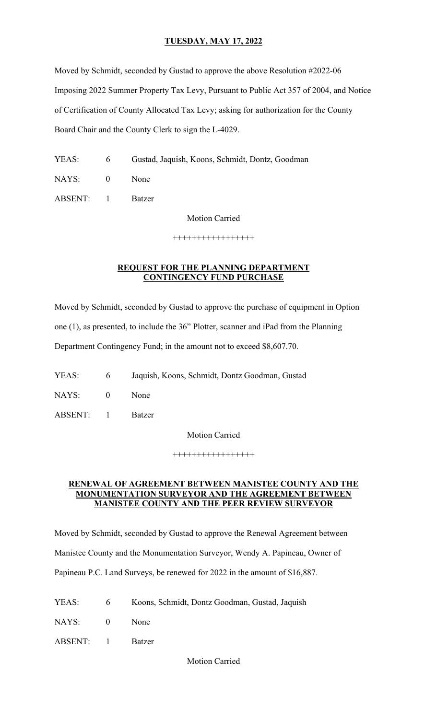Moved by Schmidt, seconded by Gustad to approve the above Resolution #2022-06 Imposing 2022 Summer Property Tax Levy, Pursuant to Public Act 357 of 2004, and Notice of Certification of County Allocated Tax Levy; asking for authorization for the County Board Chair and the County Clerk to sign the L-4029.

YEAS: 6 Gustad, Jaquish, Koons, Schmidt, Dontz, Goodman

NAYS: 0 None

ABSENT: 1 Batzer

Motion Carried

+++++++++++++++++

## **REQUEST FOR THE PLANNING DEPARTMENT CONTINGENCY FUND PURCHASE**

Moved by Schmidt, seconded by Gustad to approve the purchase of equipment in Option one (1), as presented, to include the 36" Plotter, scanner and iPad from the Planning Department Contingency Fund; in the amount not to exceed \$8,607.70.

- YEAS: 6 Jaquish, Koons, Schmidt, Dontz Goodman, Gustad
- NAYS: 0 None
- ABSENT: 1 Batzer

Motion Carried

+++++++++++++++++

#### **RENEWAL OF AGREEMENT BETWEEN MANISTEE COUNTY AND THE MONUMENTATION SURVEYOR AND THE AGREEMENT BETWEEN MANISTEE COUNTY AND THE PEER REVIEW SURVEYOR**

Moved by Schmidt, seconded by Gustad to approve the Renewal Agreement between Manistee County and the Monumentation Surveyor, Wendy A. Papineau, Owner of Papineau P.C. Land Surveys, be renewed for 2022 in the amount of \$16,887.

| YEAS: |  | Koons, Schmidt, Dontz Goodman, Gustad, Jaquish |  |  |
|-------|--|------------------------------------------------|--|--|
|-------|--|------------------------------------------------|--|--|

NAYS: 0 None

ABSENT: 1 Batzer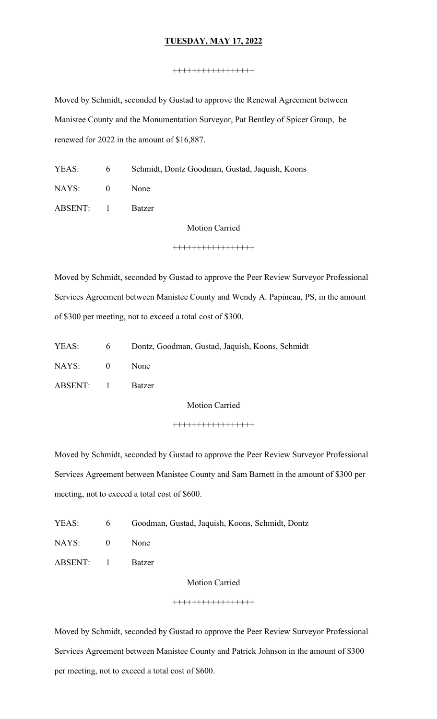#### +++++++++++++++++

Moved by Schmidt, seconded by Gustad to approve the Renewal Agreement between Manistee County and the Monumentation Surveyor, Pat Bentley of Spicer Group, be renewed for 2022 in the amount of \$16,887.

- YEAS: 6 Schmidt, Dontz Goodman, Gustad, Jaquish, Koons
- NAYS: 0 None
- ABSENT: 1 Batzer

Motion Carried

+++++++++++++++++

Moved by Schmidt, seconded by Gustad to approve the Peer Review Surveyor Professional Services Agreement between Manistee County and Wendy A. Papineau, PS, in the amount of \$300 per meeting, not to exceed a total cost of \$300.

|           | YEAS: 6 Dontz, Goodman, Gustad, Jaquish, Koons, Schmidt |
|-----------|---------------------------------------------------------|
| NAYS: 0   | <b>None</b>                                             |
| ABSENT: 1 | Batzer                                                  |

Motion Carried

+++++++++++++++++

Moved by Schmidt, seconded by Gustad to approve the Peer Review Surveyor Professional Services Agreement between Manistee County and Sam Barnett in the amount of \$300 per meeting, not to exceed a total cost of \$600.

| YEAS: | 6 <sup>6</sup> | Goodman, Gustad, Jaquish, Koons, Schmidt, Dontz |
|-------|----------------|-------------------------------------------------|
| NAYS: | $\bigcirc$     | None                                            |

ABSENT: 1 Batzer

Motion Carried

#### +++++++++++++++++

Moved by Schmidt, seconded by Gustad to approve the Peer Review Surveyor Professional Services Agreement between Manistee County and Patrick Johnson in the amount of \$300 per meeting, not to exceed a total cost of \$600.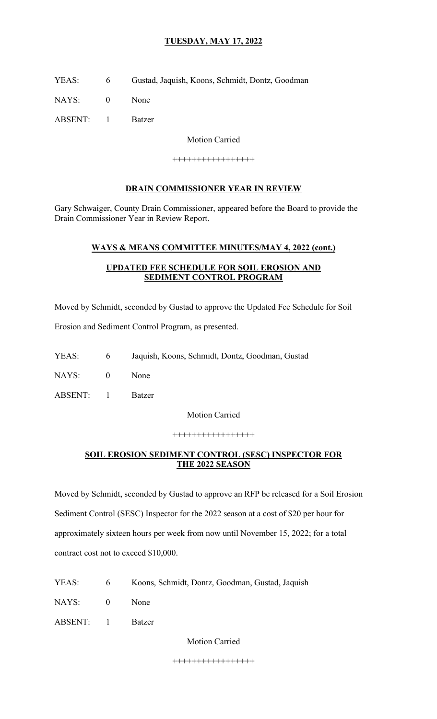YEAS: 6 Gustad, Jaquish, Koons, Schmidt, Dontz, Goodman

NAYS: 0 None

ABSENT: 1 Batzer

Motion Carried

+++++++++++++++++

## **DRAIN COMMISSIONER YEAR IN REVIEW**

Gary Schwaiger, County Drain Commissioner, appeared before the Board to provide the Drain Commissioner Year in Review Report.

## **WAYS & MEANS COMMITTEE MINUTES/MAY 4, 2022 (cont.)**

## **UPDATED FEE SCHEDULE FOR SOIL EROSION AND SEDIMENT CONTROL PROGRAM**

Moved by Schmidt, seconded by Gustad to approve the Updated Fee Schedule for Soil

Erosion and Sediment Control Program, as presented.

- YEAS: 6 Jaquish, Koons, Schmidt, Dontz, Goodman, Gustad
- NAYS: 0 None
- ABSENT: 1 Batzer

Motion Carried

+++++++++++++++++

## **SOIL EROSION SEDIMENT CONTROL (SESC) INSPECTOR FOR THE 2022 SEASON**

Moved by Schmidt, seconded by Gustad to approve an RFP be released for a Soil Erosion Sediment Control (SESC) Inspector for the 2022 season at a cost of \$20 per hour for approximately sixteen hours per week from now until November 15, 2022; for a total contract cost not to exceed \$10,000.

- YEAS: 6 Koons, Schmidt, Dontz, Goodman, Gustad, Jaquish
- NAYS: 0 None

ABSENT: 1 Batzer

Motion Carried

+++++++++++++++++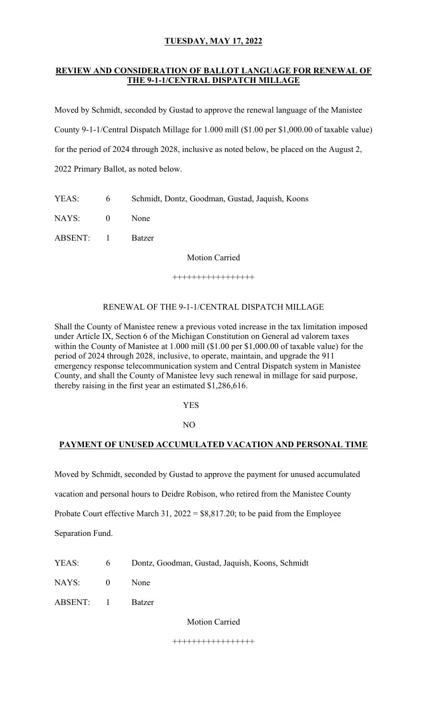## **REVIEW AND CONSIDERATION OF BALLOT LANGUAGE FOR RENEWAL OF THE 9-1-1/CENTRAL DISPATCH MILLAGE**

Moved by Schmidt, seconded by Gustad to approve the renewal language of the Manistee County 9-1-1/Central Dispatch Millage for 1.000 mill (\$1.00 per \$1,000.00 of taxable value) for the period of 2024 through 2028, inclusive as noted below, be placed on the August 2, 2022 Primary Ballot, as noted below.

YEAS: 6 Schmidt, Dontz, Goodman, Gustad, Jaquish, Koons

NAYS: 0 None

ABSENT: 1 Batzer

Motion Carried

+++++++++++++++++

## RENEWAL OF THE 9-1-1/CENTRAL DISPATCH MILLAGE

Shall the County of Manistee renew a previous voted increase in the tax limitation imposed under Article IX, Section 6 of the Michigan Constitution on General ad valorem taxes within the County of Manistee at 1.000 mill (\$1.00 per \$1,000.00 of taxable value) for the period of 2024 through 2028, inclusive, to operate, maintain, and upgrade the 911 emergency response telecommunication system and Central Dispatch system in Manistee County, and shall the County of Manistee levy such renewal in millage for said purpose, thereby raising in the first year an estimated \$1,286,616.

**YES** 

NO

# **PAYMENT OF UNUSED ACCUMULATED VACATION AND PERSONAL TIME**

Moved by Schmidt, seconded by Gustad to approve the payment for unused accumulated

vacation and personal hours to Deidre Robison, who retired from the Manistee County

Probate Court effective March 31,  $2022 = $8,817.20$ ; to be paid from the Employee

Separation Fund.

YEAS: 6 Dontz, Goodman, Gustad, Jaquish, Koons, Schmidt

NAYS: 0 None

ABSENT: 1 Batzer

Motion Carried

+++++++++++++++++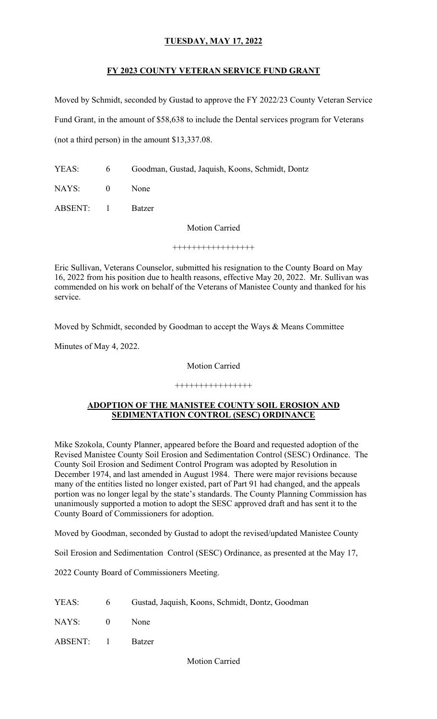## **FY 2023 COUNTY VETERAN SERVICE FUND GRANT**

Moved by Schmidt, seconded by Gustad to approve the FY 2022/23 County Veteran Service Fund Grant, in the amount of \$58,638 to include the Dental services program for Veterans (not a third person) in the amount \$13,337.08.

- YEAS: 6 Goodman, Gustad, Jaquish, Koons, Schmidt, Dontz
- NAYS: 0 None
- ABSENT: 1 Batzer

Motion Carried

+++++++++++++++++

Eric Sullivan, Veterans Counselor, submitted his resignation to the County Board on May 16, 2022 from his position due to health reasons, effective May 20, 2022. Mr. Sullivan was commended on his work on behalf of the Veterans of Manistee County and thanked for his service.

Moved by Schmidt, seconded by Goodman to accept the Ways & Means Committee

Minutes of May 4, 2022.

## Motion Carried

#### ++++++++++++++++

#### **ADOPTION OF THE MANISTEE COUNTY SOIL EROSION AND SEDIMENTATION CONTROL (SESC) ORDINANCE**

Mike Szokola, County Planner, appeared before the Board and requested adoption of the Revised Manistee County Soil Erosion and Sedimentation Control (SESC) Ordinance. The County Soil Erosion and Sediment Control Program was adopted by Resolution in December 1974, and last amended in August 1984. There were major revisions because many of the entities listed no longer existed, part of Part 91 had changed, and the appeals portion was no longer legal by the state's standards. The County Planning Commission has unanimously supported a motion to adopt the SESC approved draft and has sent it to the County Board of Commissioners for adoption.

Moved by Goodman, seconded by Gustad to adopt the revised/updated Manistee County

Soil Erosion and Sedimentation Control (SESC) Ordinance, as presented at the May 17,

2022 County Board of Commissioners Meeting.

|           | YEAS: 6 Gustad, Jaquish, Koons, Schmidt, Dontz, Goodman |
|-----------|---------------------------------------------------------|
| NAYS: 0   | <b>None</b>                                             |
| ABSENT: 1 | <b>Batzer</b>                                           |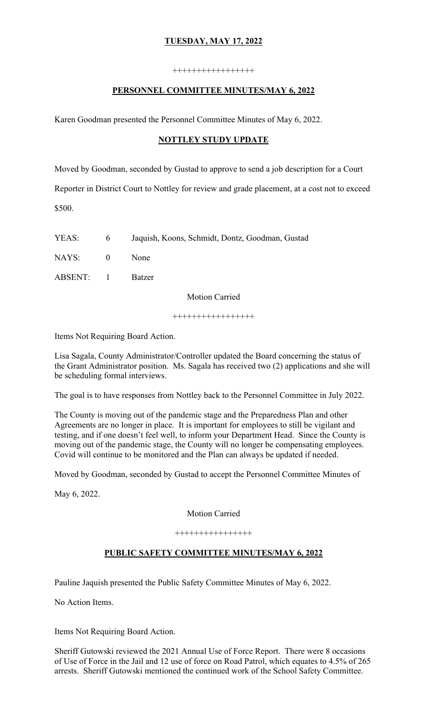#### +++++++++++++++++

## **PERSONNEL COMMITTEE MINUTES/MAY 6, 2022**

Karen Goodman presented the Personnel Committee Minutes of May 6, 2022.

## **NOTTLEY STUDY UPDATE**

Moved by Goodman, seconded by Gustad to approve to send a job description for a Court Reporter in District Court to Nottley for review and grade placement, at a cost not to exceed \$500.

YEAS: 6 Jaquish, Koons, Schmidt, Dontz, Goodman, Gustad

NAYS: 0 None

ABSENT: 1 Batzer

Motion Carried

+++++++++++++++++

Items Not Requiring Board Action.

Lisa Sagala, County Administrator/Controller updated the Board concerning the status of the Grant Administrator position. Ms. Sagala has received two (2) applications and she will be scheduling formal interviews.

The goal is to have responses from Nottley back to the Personnel Committee in July 2022.

The County is moving out of the pandemic stage and the Preparedness Plan and other Agreements are no longer in place. It is important for employees to still be vigilant and testing, and if one doesn't feel well, to inform your Department Head. Since the County is moving out of the pandemic stage, the County will no longer be compensating employees. Covid will continue to be monitored and the Plan can always be updated if needed.

Moved by Goodman, seconded by Gustad to accept the Personnel Committee Minutes of

May 6, 2022.

Motion Carried

++++++++++++++++

## **PUBLIC SAFETY COMMITTEE MINUTES/MAY 6, 2022**

Pauline Jaquish presented the Public Safety Committee Minutes of May 6, 2022.

No Action Items.

Items Not Requiring Board Action.

Sheriff Gutowski reviewed the 2021 Annual Use of Force Report. There were 8 occasions of Use of Force in the Jail and 12 use of force on Road Patrol, which equates to 4.5% of 265 arrests. Sheriff Gutowski mentioned the continued work of the School Safety Committee.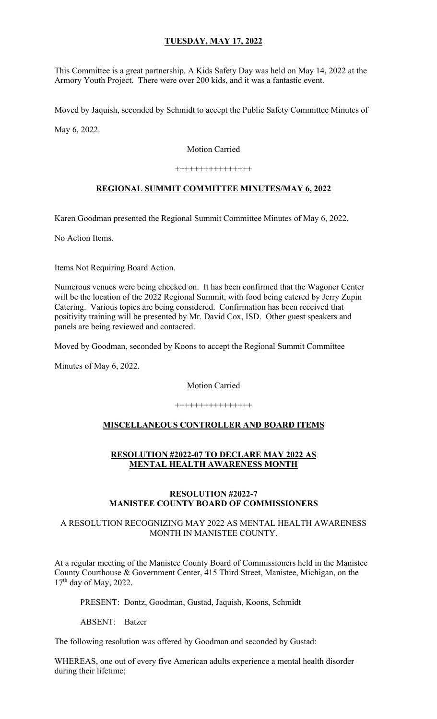This Committee is a great partnership. A Kids Safety Day was held on May 14, 2022 at the Armory Youth Project. There were over 200 kids, and it was a fantastic event.

Moved by Jaquish, seconded by Schmidt to accept the Public Safety Committee Minutes of

May 6, 2022.

Motion Carried

++++++++++++++++

# **REGIONAL SUMMIT COMMITTEE MINUTES/MAY 6, 2022**

Karen Goodman presented the Regional Summit Committee Minutes of May 6, 2022.

No Action Items.

Items Not Requiring Board Action.

Numerous venues were being checked on. It has been confirmed that the Wagoner Center will be the location of the 2022 Regional Summit, with food being catered by Jerry Zupin Catering. Various topics are being considered. Confirmation has been received that positivity training will be presented by Mr. David Cox, ISD. Other guest speakers and panels are being reviewed and contacted.

Moved by Goodman, seconded by Koons to accept the Regional Summit Committee

Minutes of May 6, 2022.

Motion Carried

++++++++++++++++

## **MISCELLANEOUS CONTROLLER AND BOARD ITEMS**

## **RESOLUTION #2022-07 TO DECLARE MAY 2022 AS MENTAL HEALTH AWARENESS MONTH**

#### **RESOLUTION #2022-7 MANISTEE COUNTY BOARD OF COMMISSIONERS**

## A RESOLUTION RECOGNIZING MAY 2022 AS MENTAL HEALTH AWARENESS MONTH IN MANISTEE COUNTY.

At a regular meeting of the Manistee County Board of Commissioners held in the Manistee County Courthouse & Government Center, 415 Third Street, Manistee, Michigan, on the  $17<sup>th</sup>$  day of May, 2022.

PRESENT: Dontz, Goodman, Gustad, Jaquish, Koons, Schmidt

ABSENT: Batzer

The following resolution was offered by Goodman and seconded by Gustad:

WHEREAS, one out of every five American adults experience a mental health disorder during their lifetime;